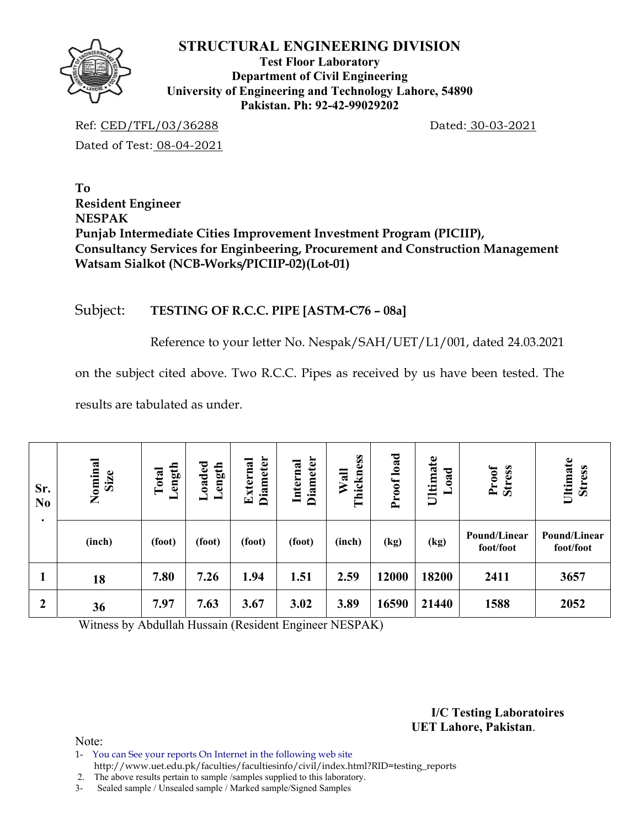

**Test Floor Laboratory Department of Civil Engineering University of Engineering and Technology Lahore, 54890 Pakistan. Ph: 92-42-99029202** 

Ref: CED/TFL/03/36288 Dated: 30-03-2021 Dated of Test: 08-04-2021

**To Resident Engineer NESPAK Punjab Intermediate Cities Improvement Investment Program (PICIIP), Consultancy Services for Enginbeering, Procurement and Construction Management Watsam Sialkot (NCB-Works/PICIIP-02)(Lot-01)** 

# Subject: **TESTING OF R.C.C. PIPE [ASTM-C76 – 08a]**

Reference to your letter No. Nespak/SAH/UET/L1/001, dated 24.03.2021

on the subject cited above. Two R.C.C. Pipes as received by us have been tested. The

results are tabulated as under.

| Sr.<br>N <sub>0</sub><br>٠ | Nominal<br>Size | Length<br>Total |        | <b>Diameter</b><br>External | <b>Diameter</b><br>Internal | Thickness<br>Wall | load<br>Proof | Ultimate<br>Load | Proof<br><b>Stress</b>    | Ultimate<br><b>Stress</b> |
|----------------------------|-----------------|-----------------|--------|-----------------------------|-----------------------------|-------------------|---------------|------------------|---------------------------|---------------------------|
|                            | (inch)          | (foot)          | (foot) | (foot)                      | (foot)                      | (inch)            | (kg)          | (kg)             | Pound/Linear<br>foot/foot | Pound/Linear<br>foot/foot |
| л                          | 18              | 7.80            | 7.26   | 1.94                        | 1.51                        | 2.59              | 12000         | 18200            | 2411                      | 3657                      |
| $\boldsymbol{2}$           | 36              | 7.97            | 7.63   | 3.67                        | 3.02                        | 3.89              | 16590         | 21440            | 1588                      | 2052                      |

Witness by Abdullah Hussain (Resident Engineer NESPAK)

**I/C Testing Laboratoires UET Lahore, Pakistan**.

Note:

- 1- You can See your reports On Internet in the following web site http://www.uet.edu.pk/faculties/facultiesinfo/civil/index.html?RID=testing\_reports
- 2. The above results pertain to sample /samples supplied to this laboratory.
- 3- Sealed sample / Unsealed sample / Marked sample/Signed Samples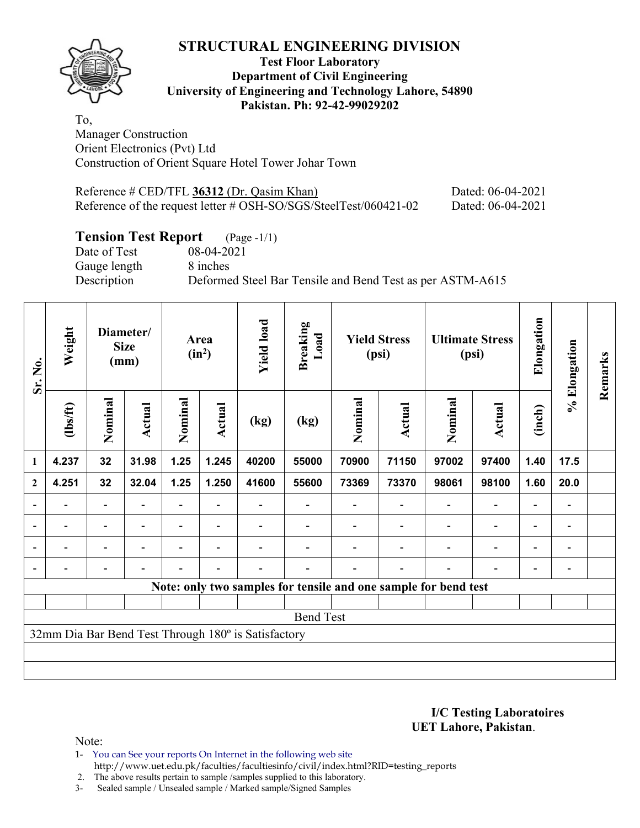

#### **Test Floor Laboratory Department of Civil Engineering University of Engineering and Technology Lahore, 54890 Pakistan. Ph: 92-42-99029202**

To, Manager Construction Orient Electronics (Pvt) Ltd Construction of Orient Square Hotel Tower Johar Town

| Reference $\#$ CED/TFL 36312 (Dr. Qasim Khan)                       | Dated: 06-04-2021 |
|---------------------------------------------------------------------|-------------------|
| Reference of the request letter $\#$ OSH-SO/SGS/SteelTest/060421-02 | Dated: 06-04-2021 |

# **Tension Test Report** (Page -1/1)<br>Date of Test 08-04-2021

Gauge length 8 inches

08-04-2021 Description Deformed Steel Bar Tensile and Bend Test as per ASTM-A615

| Sr. No.                  | Weight                                              | Diameter/<br><b>Size</b><br>(mm) |                          |         |                          | Area<br>$(in^2)$ |       | <b>Yield load</b> | <b>Breaking</b><br>Load                                         |                          | <b>Yield Stress</b><br>(psi) | <b>Ultimate Stress</b><br>(psi) |                              | Elongation | % Elongation | Remarks |
|--------------------------|-----------------------------------------------------|----------------------------------|--------------------------|---------|--------------------------|------------------|-------|-------------------|-----------------------------------------------------------------|--------------------------|------------------------------|---------------------------------|------------------------------|------------|--------------|---------|
|                          | (1bs/ft)                                            | Nominal                          | <b>Actual</b>            | Nominal | Actual                   | (kg)             | (kg)  | Nominal           | Actual                                                          | Nominal                  | Actual                       | (inch)                          |                              |            |              |         |
| $\mathbf{1}$             | 4.237                                               | 32                               | 31.98                    | 1.25    | 1.245                    | 40200            | 55000 | 70900             | 71150                                                           | 97002                    | 97400                        | 1.40                            | 17.5                         |            |              |         |
| $\boldsymbol{2}$         | 4.251                                               | 32                               | 32.04                    | 1.25    | 1.250                    | 41600            | 55600 | 73369             | 73370                                                           | 98061                    | 98100                        | 1.60                            | 20.0                         |            |              |         |
| $\overline{\phantom{a}}$ |                                                     | $\overline{\phantom{a}}$         |                          |         |                          |                  |       |                   |                                                                 | $\overline{\phantom{a}}$ | $\overline{\phantom{a}}$     | $\overline{\phantom{0}}$        | $\qquad \qquad \blacksquare$ |            |              |         |
| $\blacksquare$           | $\blacksquare$                                      | $\overline{\phantom{a}}$         | $\overline{\phantom{0}}$ | ٠       | $\overline{\phantom{0}}$ |                  |       |                   |                                                                 | $\overline{a}$           | $\overline{\phantom{a}}$     | $\blacksquare$                  | $\qquad \qquad \blacksquare$ |            |              |         |
| $\blacksquare$           |                                                     | $\overline{a}$                   | ۰                        |         | $\overline{\phantom{0}}$ |                  |       |                   |                                                                 | $\overline{\phantom{0}}$ | $\overline{\phantom{a}}$     |                                 | $\qquad \qquad \blacksquare$ |            |              |         |
|                          |                                                     |                                  |                          |         |                          |                  |       |                   |                                                                 |                          |                              |                                 |                              |            |              |         |
|                          |                                                     |                                  |                          |         |                          |                  |       |                   | Note: only two samples for tensile and one sample for bend test |                          |                              |                                 |                              |            |              |         |
|                          |                                                     |                                  |                          |         |                          |                  |       |                   |                                                                 |                          |                              |                                 |                              |            |              |         |
| <b>Bend Test</b>         |                                                     |                                  |                          |         |                          |                  |       |                   |                                                                 |                          |                              |                                 |                              |            |              |         |
|                          | 32mm Dia Bar Bend Test Through 180° is Satisfactory |                                  |                          |         |                          |                  |       |                   |                                                                 |                          |                              |                                 |                              |            |              |         |
|                          |                                                     |                                  |                          |         |                          |                  |       |                   |                                                                 |                          |                              |                                 |                              |            |              |         |
|                          |                                                     |                                  |                          |         |                          |                  |       |                   |                                                                 |                          |                              |                                 |                              |            |              |         |

**I/C Testing Laboratoires UET Lahore, Pakistan**.

Note:

1- You can See your reports On Internet in the following web site http://www.uet.edu.pk/faculties/facultiesinfo/civil/index.html?RID=testing\_reports

2. The above results pertain to sample /samples supplied to this laboratory.

3- Sealed sample / Unsealed sample / Marked sample/Signed Samples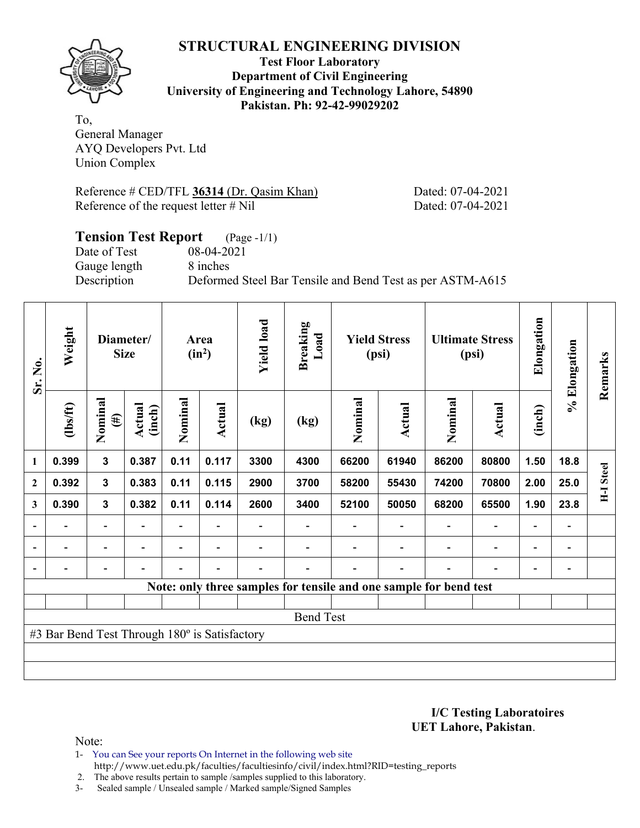

**Test Floor Laboratory Department of Civil Engineering University of Engineering and Technology Lahore, 54890 Pakistan. Ph: 92-42-99029202** 

To, General Manager AYQ Developers Pvt. Ltd Union Complex

Reference # CED/TFL **36314** (Dr. Qasim Khan) Dated: 07-04-2021 Reference of the request letter # Nil Dated: 07-04-2021

## **Tension Test Report** (Page -1/1) Date of Test 08-04-2021 Gauge length 8 inches Description Deformed Steel Bar Tensile and Bend Test as per ASTM-A615

| Sr. No.      | Weight                                        | Diameter/<br><b>Size</b> |                  | <b>Yield load</b><br><b>Breaking</b><br>Area<br>$(in^2)$ |                          | Load                     | <b>Yield Stress</b><br>(psi) |         | <b>Ultimate Stress</b><br>(psi)                                   |                          | Elongation                   | % Elongation             | Remarks                      |                  |
|--------------|-----------------------------------------------|--------------------------|------------------|----------------------------------------------------------|--------------------------|--------------------------|------------------------------|---------|-------------------------------------------------------------------|--------------------------|------------------------------|--------------------------|------------------------------|------------------|
|              | (1bs/ft)                                      | Nominal<br>$(\#)$        | Actual<br>(inch) | Nominal                                                  | Actual                   | (kg)                     | (kg)                         | Nominal | Actual                                                            | Nominal                  | <b>Actual</b>                | (inch)                   |                              |                  |
| 1            | 0.399                                         | $\mathbf{3}$             | 0.387            | 0.11                                                     | 0.117                    | 3300                     | 4300                         | 66200   | 61940                                                             | 86200                    | 80800                        | 1.50                     | 18.8                         |                  |
| $\mathbf{2}$ | 0.392                                         | $\mathbf{3}$             | 0.383            | 0.11                                                     | 0.115                    | 2900                     | 3700                         | 58200   | 55430                                                             | 74200                    | 70800                        | 2.00                     | 25.0                         | <b>H-I</b> Steel |
| 3            | 0.390                                         | $\mathbf{3}$             | 0.382            | 0.11                                                     | 0.114                    | 2600                     | 3400                         | 52100   | 50050                                                             | 68200                    | 65500                        | 1.90                     | 23.8                         |                  |
|              | $\overline{\phantom{0}}$                      | $\overline{\phantom{a}}$ | $\blacksquare$   |                                                          | $\blacksquare$           |                          |                              |         | $\overline{\phantom{a}}$                                          | $\overline{\phantom{a}}$ | $\qquad \qquad \blacksquare$ | $\overline{\phantom{a}}$ |                              |                  |
|              | $\overline{\phantom{0}}$                      | $\overline{\phantom{a}}$ |                  | Ξ.                                                       | $\overline{\phantom{a}}$ |                          |                              |         | $\blacksquare$                                                    | $\blacksquare$           | $\overline{a}$               | $\overline{\phantom{0}}$ | $\blacksquare$               |                  |
|              | $\overline{\phantom{0}}$                      | $\blacksquare$           |                  | Ξ.                                                       | $\blacksquare$           | $\overline{\phantom{0}}$ |                              |         | $\overline{\phantom{0}}$                                          | $\blacksquare$           | $\qquad \qquad \blacksquare$ | -                        | $\qquad \qquad \blacksquare$ |                  |
|              |                                               |                          |                  |                                                          |                          |                          |                              |         | Note: only three samples for tensile and one sample for bend test |                          |                              |                          |                              |                  |
|              |                                               |                          |                  |                                                          |                          |                          |                              |         |                                                                   |                          |                              |                          |                              |                  |
|              | <b>Bend Test</b>                              |                          |                  |                                                          |                          |                          |                              |         |                                                                   |                          |                              |                          |                              |                  |
|              | #3 Bar Bend Test Through 180° is Satisfactory |                          |                  |                                                          |                          |                          |                              |         |                                                                   |                          |                              |                          |                              |                  |
|              |                                               |                          |                  |                                                          |                          |                          |                              |         |                                                                   |                          |                              |                          |                              |                  |
|              |                                               |                          |                  |                                                          |                          |                          |                              |         |                                                                   |                          |                              |                          |                              |                  |

**I/C Testing Laboratoires UET Lahore, Pakistan**.

Note:

1- You can See your reports On Internet in the following web site http://www.uet.edu.pk/faculties/facultiesinfo/civil/index.html?RID=testing\_reports

2. The above results pertain to sample /samples supplied to this laboratory.

3- Sealed sample / Unsealed sample / Marked sample/Signed Samples